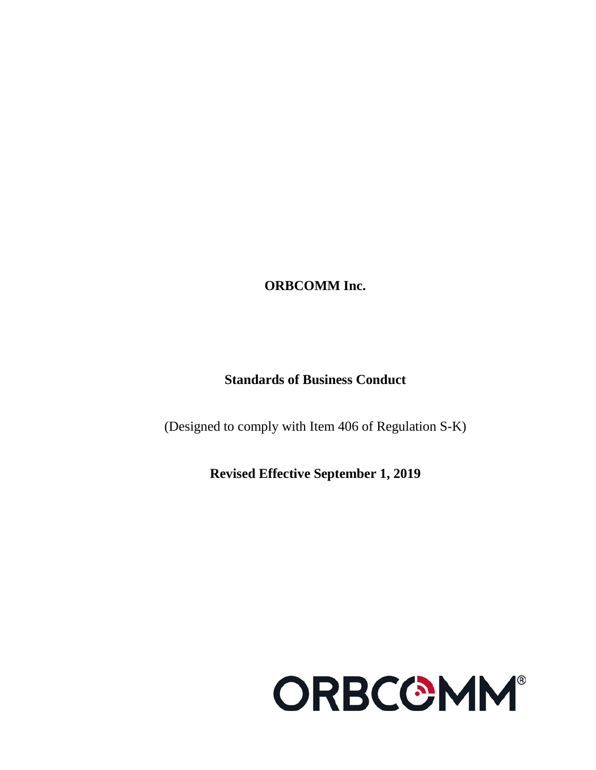**ORBCOMM Inc.**

# **Standards of Business Conduct**

(Designed to comply with Item 406 of Regulation S-K)

**Revised Effective September 1, 2019**

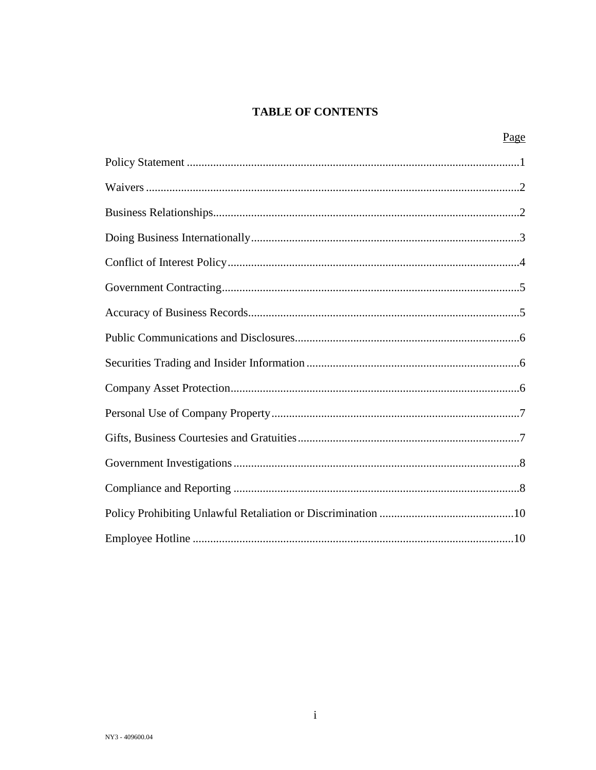## **TABLE OF CONTENTS**

| Page |
|------|
|      |
|      |
|      |
|      |
|      |
|      |
|      |
|      |
|      |
|      |
|      |
|      |
|      |
|      |
|      |
|      |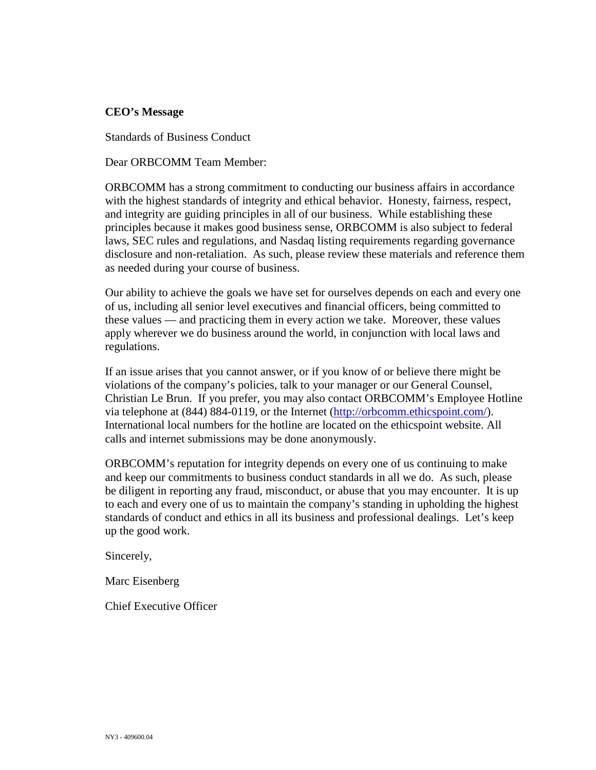## **CEO's Message**

Standards of Business Conduct

#### Dear ORBCOMM Team Member:

ORBCOMM has a strong commitment to conducting our business affairs in accordance with the highest standards of integrity and ethical behavior. Honesty, fairness, respect, and integrity are guiding principles in all of our business. While establishing these principles because it makes good business sense, ORBCOMM is also subject to federal laws, SEC rules and regulations, and Nasdaq listing requirements regarding governance disclosure and non-retaliation. As such, please review these materials and reference them as needed during your course of business.

Our ability to achieve the goals we have set for ourselves depends on each and every one of us, including all senior level executives and financial officers, being committed to these values — and practicing them in every action we take. Moreover, these values apply wherever we do business around the world, in conjunction with local laws and regulations.

If an issue arises that you cannot answer, or if you know of or believe there might be violations of the company's policies, talk to your manager or our General Counsel, Christian Le Brun. If you prefer, you may also contact ORBCOMM's Employee Hotline via telephone at (844) 884-0119, or the Internet [\(http://orbcomm.ethicspoint.com/\)](http://orbcomm.ethicspoint.com/). International local numbers for the hotline are located on the ethicspoint website. All calls and internet submissions may be done anonymously.

ORBCOMM's reputation for integrity depends on every one of us continuing to make and keep our commitments to business conduct standards in all we do. As such, please be diligent in reporting any fraud, misconduct, or abuse that you may encounter. It is up to each and every one of us to maintain the company's standing in upholding the highest standards of conduct and ethics in all its business and professional dealings. Let's keep up the good work.

Sincerely,

Marc Eisenberg

Chief Executive Officer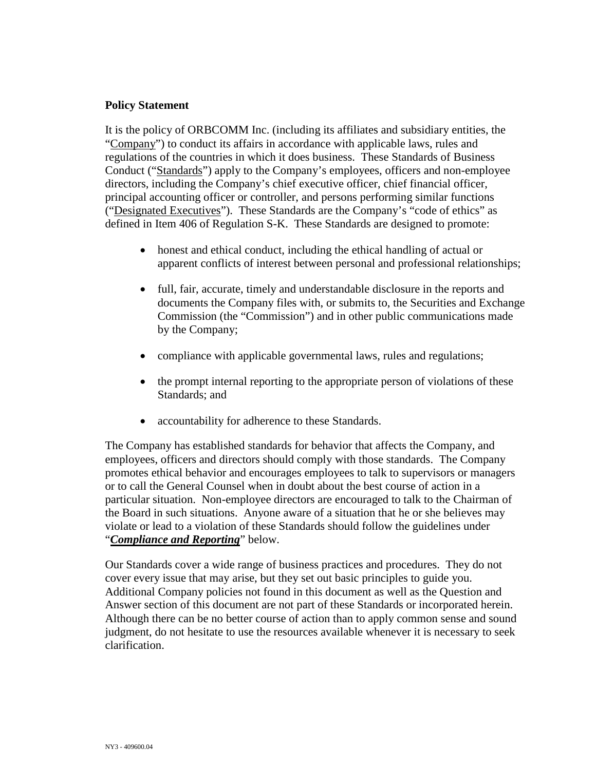## **Policy Statement**

It is the policy of ORBCOMM Inc. (including its affiliates and subsidiary entities, the "Company") to conduct its affairs in accordance with applicable laws, rules and regulations of the countries in which it does business. These Standards of Business Conduct ("Standards") apply to the Company's employees, officers and non-employee directors, including the Company's chief executive officer, chief financial officer, principal accounting officer or controller, and persons performing similar functions ("Designated Executives"). These Standards are the Company's "code of ethics" as defined in Item 406 of Regulation S-K. These Standards are designed to promote:

- honest and ethical conduct, including the ethical handling of actual or apparent conflicts of interest between personal and professional relationships;
- full, fair, accurate, timely and understandable disclosure in the reports and documents the Company files with, or submits to, the Securities and Exchange Commission (the "Commission") and in other public communications made by the Company;
- compliance with applicable governmental laws, rules and regulations;
- the prompt internal reporting to the appropriate person of violations of these Standards; and
- accountability for adherence to these Standards.

The Company has established standards for behavior that affects the Company, and employees, officers and directors should comply with those standards. The Company promotes ethical behavior and encourages employees to talk to supervisors or managers or to call the General Counsel when in doubt about the best course of action in a particular situation. Non-employee directors are encouraged to talk to the Chairman of the Board in such situations. Anyone aware of a situation that he or she believes may violate or lead to a violation of these Standards should follow the guidelines under "*Compliance and Reporting*" below.

Our Standards cover a wide range of business practices and procedures. They do not cover every issue that may arise, but they set out basic principles to guide you. Additional Company policies not found in this document as well as the Question and Answer section of this document are not part of these Standards or incorporated herein. Although there can be no better course of action than to apply common sense and sound judgment, do not hesitate to use the resources available whenever it is necessary to seek clarification.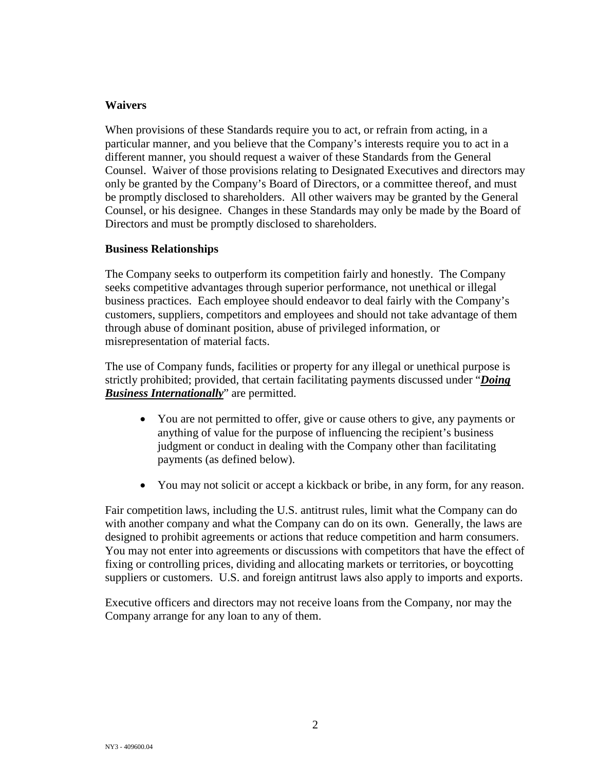## **Waivers**

When provisions of these Standards require you to act, or refrain from acting, in a particular manner, and you believe that the Company's interests require you to act in a different manner, you should request a waiver of these Standards from the General Counsel. Waiver of those provisions relating to Designated Executives and directors may only be granted by the Company's Board of Directors, or a committee thereof, and must be promptly disclosed to shareholders. All other waivers may be granted by the General Counsel, or his designee. Changes in these Standards may only be made by the Board of Directors and must be promptly disclosed to shareholders.

## **Business Relationships**

The Company seeks to outperform its competition fairly and honestly. The Company seeks competitive advantages through superior performance, not unethical or illegal business practices. Each employee should endeavor to deal fairly with the Company's customers, suppliers, competitors and employees and should not take advantage of them through abuse of dominant position, abuse of privileged information, or misrepresentation of material facts.

The use of Company funds, facilities or property for any illegal or unethical purpose is strictly prohibited; provided, that certain facilitating payments discussed under "*Doing Business Internationally*" are permitted.

- You are not permitted to offer, give or cause others to give, any payments or anything of value for the purpose of influencing the recipient's business judgment or conduct in dealing with the Company other than facilitating payments (as defined below).
- You may not solicit or accept a kickback or bribe, in any form, for any reason.

Fair competition laws, including the U.S. antitrust rules, limit what the Company can do with another company and what the Company can do on its own. Generally, the laws are designed to prohibit agreements or actions that reduce competition and harm consumers. You may not enter into agreements or discussions with competitors that have the effect of fixing or controlling prices, dividing and allocating markets or territories, or boycotting suppliers or customers. U.S. and foreign antitrust laws also apply to imports and exports.

Executive officers and directors may not receive loans from the Company, nor may the Company arrange for any loan to any of them.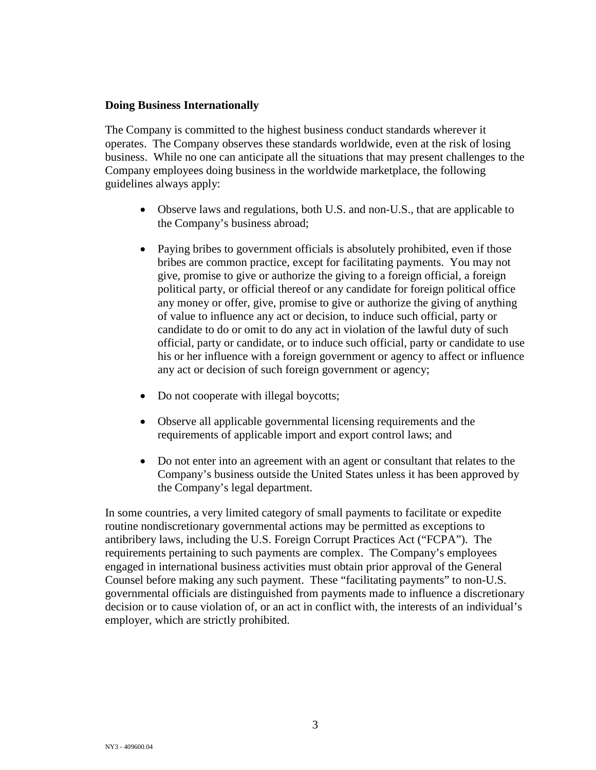## **Doing Business Internationally**

The Company is committed to the highest business conduct standards wherever it operates. The Company observes these standards worldwide, even at the risk of losing business. While no one can anticipate all the situations that may present challenges to the Company employees doing business in the worldwide marketplace, the following guidelines always apply:

- Observe laws and regulations, both U.S. and non-U.S., that are applicable to the Company's business abroad;
- Paying bribes to government officials is absolutely prohibited, even if those bribes are common practice, except for facilitating payments. You may not give, promise to give or authorize the giving to a foreign official, a foreign political party, or official thereof or any candidate for foreign political office any money or offer, give, promise to give or authorize the giving of anything of value to influence any act or decision, to induce such official, party or candidate to do or omit to do any act in violation of the lawful duty of such official, party or candidate, or to induce such official, party or candidate to use his or her influence with a foreign government or agency to affect or influence any act or decision of such foreign government or agency;
- Do not cooperate with illegal boycotts;
- Observe all applicable governmental licensing requirements and the requirements of applicable import and export control laws; and
- Do not enter into an agreement with an agent or consultant that relates to the Company's business outside the United States unless it has been approved by the Company's legal department.

In some countries, a very limited category of small payments to facilitate or expedite routine nondiscretionary governmental actions may be permitted as exceptions to antibribery laws, including the U.S. Foreign Corrupt Practices Act ("FCPA"). The requirements pertaining to such payments are complex. The Company's employees engaged in international business activities must obtain prior approval of the General Counsel before making any such payment. These "facilitating payments" to non-U.S. governmental officials are distinguished from payments made to influence a discretionary decision or to cause violation of, or an act in conflict with, the interests of an individual's employer, which are strictly prohibited.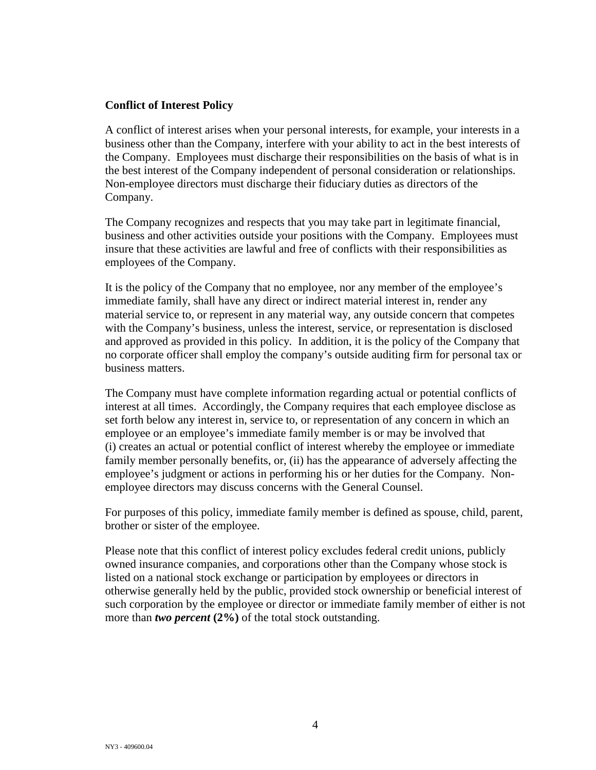#### **Conflict of Interest Policy**

A conflict of interest arises when your personal interests, for example, your interests in a business other than the Company, interfere with your ability to act in the best interests of the Company. Employees must discharge their responsibilities on the basis of what is in the best interest of the Company independent of personal consideration or relationships. Non-employee directors must discharge their fiduciary duties as directors of the Company.

The Company recognizes and respects that you may take part in legitimate financial, business and other activities outside your positions with the Company. Employees must insure that these activities are lawful and free of conflicts with their responsibilities as employees of the Company.

It is the policy of the Company that no employee, nor any member of the employee's immediate family, shall have any direct or indirect material interest in, render any material service to, or represent in any material way, any outside concern that competes with the Company's business, unless the interest, service, or representation is disclosed and approved as provided in this policy. In addition, it is the policy of the Company that no corporate officer shall employ the company's outside auditing firm for personal tax or business matters.

The Company must have complete information regarding actual or potential conflicts of interest at all times. Accordingly, the Company requires that each employee disclose as set forth below any interest in, service to, or representation of any concern in which an employee or an employee's immediate family member is or may be involved that (i) creates an actual or potential conflict of interest whereby the employee or immediate family member personally benefits, or, (ii) has the appearance of adversely affecting the employee's judgment or actions in performing his or her duties for the Company. Nonemployee directors may discuss concerns with the General Counsel.

For purposes of this policy, immediate family member is defined as spouse, child, parent, brother or sister of the employee.

Please note that this conflict of interest policy excludes federal credit unions, publicly owned insurance companies, and corporations other than the Company whose stock is listed on a national stock exchange or participation by employees or directors in otherwise generally held by the public, provided stock ownership or beneficial interest of such corporation by the employee or director or immediate family member of either is not more than *two percent* **(2%)** of the total stock outstanding.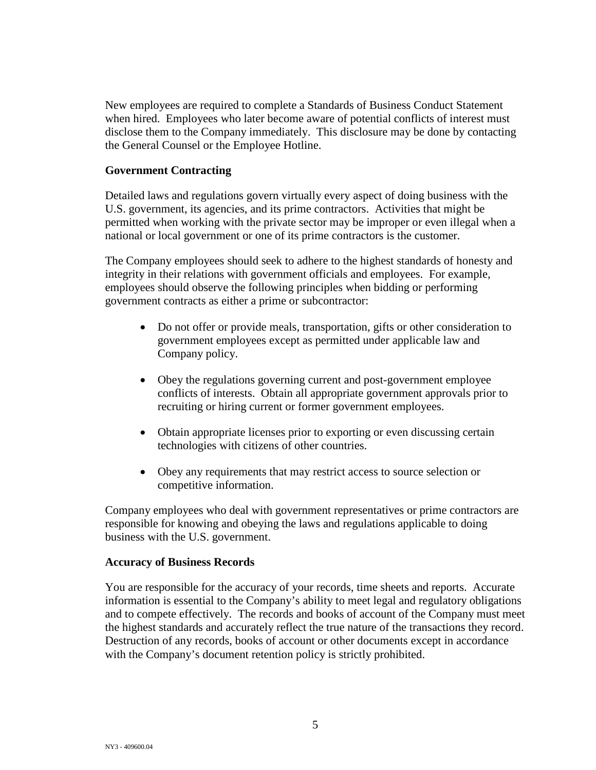New employees are required to complete a Standards of Business Conduct Statement when hired. Employees who later become aware of potential conflicts of interest must disclose them to the Company immediately. This disclosure may be done by contacting the General Counsel or the Employee Hotline.

## **Government Contracting**

Detailed laws and regulations govern virtually every aspect of doing business with the U.S. government, its agencies, and its prime contractors. Activities that might be permitted when working with the private sector may be improper or even illegal when a national or local government or one of its prime contractors is the customer.

The Company employees should seek to adhere to the highest standards of honesty and integrity in their relations with government officials and employees. For example, employees should observe the following principles when bidding or performing government contracts as either a prime or subcontractor:

- Do not offer or provide meals, transportation, gifts or other consideration to government employees except as permitted under applicable law and Company policy.
- Obey the regulations governing current and post-government employee conflicts of interests. Obtain all appropriate government approvals prior to recruiting or hiring current or former government employees.
- Obtain appropriate licenses prior to exporting or even discussing certain technologies with citizens of other countries.
- Obey any requirements that may restrict access to source selection or competitive information.

Company employees who deal with government representatives or prime contractors are responsible for knowing and obeying the laws and regulations applicable to doing business with the U.S. government.

#### **Accuracy of Business Records**

You are responsible for the accuracy of your records, time sheets and reports. Accurate information is essential to the Company's ability to meet legal and regulatory obligations and to compete effectively. The records and books of account of the Company must meet the highest standards and accurately reflect the true nature of the transactions they record. Destruction of any records, books of account or other documents except in accordance with the Company's document retention policy is strictly prohibited.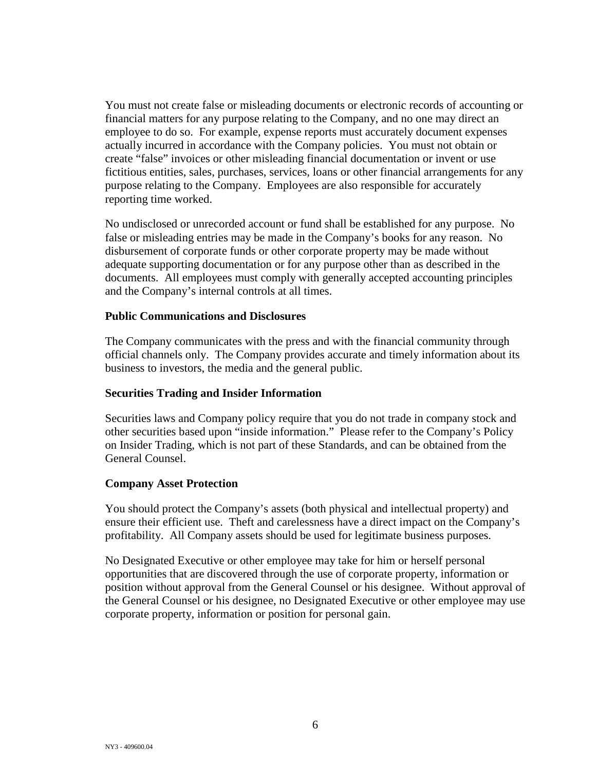You must not create false or misleading documents or electronic records of accounting or financial matters for any purpose relating to the Company, and no one may direct an employee to do so. For example, expense reports must accurately document expenses actually incurred in accordance with the Company policies. You must not obtain or create "false" invoices or other misleading financial documentation or invent or use fictitious entities, sales, purchases, services, loans or other financial arrangements for any purpose relating to the Company. Employees are also responsible for accurately reporting time worked.

No undisclosed or unrecorded account or fund shall be established for any purpose. No false or misleading entries may be made in the Company's books for any reason. No disbursement of corporate funds or other corporate property may be made without adequate supporting documentation or for any purpose other than as described in the documents. All employees must comply with generally accepted accounting principles and the Company's internal controls at all times.

#### **Public Communications and Disclosures**

The Company communicates with the press and with the financial community through official channels only. The Company provides accurate and timely information about its business to investors, the media and the general public.

#### **Securities Trading and Insider Information**

Securities laws and Company policy require that you do not trade in company stock and other securities based upon "inside information." Please refer to the Company's Policy on Insider Trading, which is not part of these Standards, and can be obtained from the General Counsel.

#### **Company Asset Protection**

You should protect the Company's assets (both physical and intellectual property) and ensure their efficient use. Theft and carelessness have a direct impact on the Company's profitability. All Company assets should be used for legitimate business purposes.

No Designated Executive or other employee may take for him or herself personal opportunities that are discovered through the use of corporate property, information or position without approval from the General Counsel or his designee. Without approval of the General Counsel or his designee, no Designated Executive or other employee may use corporate property, information or position for personal gain.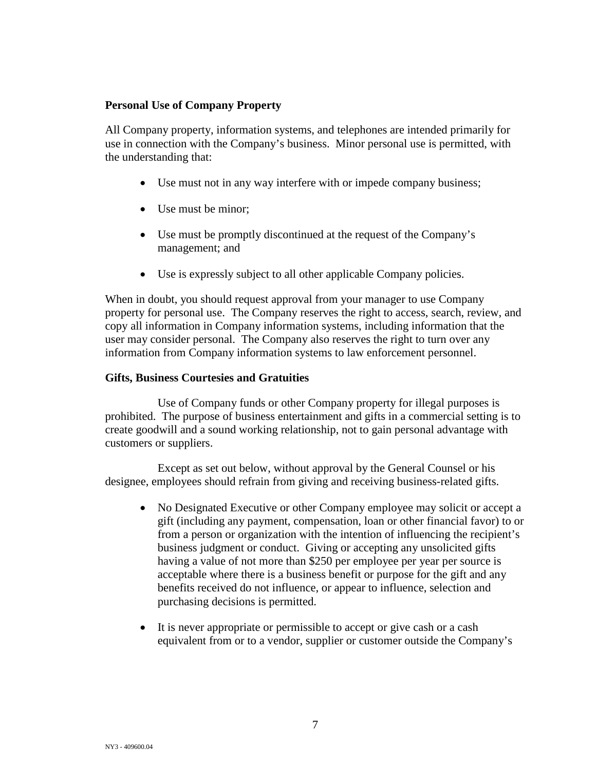## **Personal Use of Company Property**

All Company property, information systems, and telephones are intended primarily for use in connection with the Company's business. Minor personal use is permitted, with the understanding that:

- Use must not in any way interfere with or impede company business;
- Use must be minor;
- Use must be promptly discontinued at the request of the Company's management; and
- Use is expressly subject to all other applicable Company policies.

When in doubt, you should request approval from your manager to use Company property for personal use. The Company reserves the right to access, search, review, and copy all information in Company information systems, including information that the user may consider personal. The Company also reserves the right to turn over any information from Company information systems to law enforcement personnel.

## **Gifts, Business Courtesies and Gratuities**

Use of Company funds or other Company property for illegal purposes is prohibited. The purpose of business entertainment and gifts in a commercial setting is to create goodwill and a sound working relationship, not to gain personal advantage with customers or suppliers.

Except as set out below, without approval by the General Counsel or his designee, employees should refrain from giving and receiving business-related gifts.

- No Designated Executive or other Company employee may solicit or accept a gift (including any payment, compensation, loan or other financial favor) to or from a person or organization with the intention of influencing the recipient's business judgment or conduct. Giving or accepting any unsolicited gifts having a value of not more than \$250 per employee per year per source is acceptable where there is a business benefit or purpose for the gift and any benefits received do not influence, or appear to influence, selection and purchasing decisions is permitted.
- It is never appropriate or permissible to accept or give cash or a cash equivalent from or to a vendor, supplier or customer outside the Company's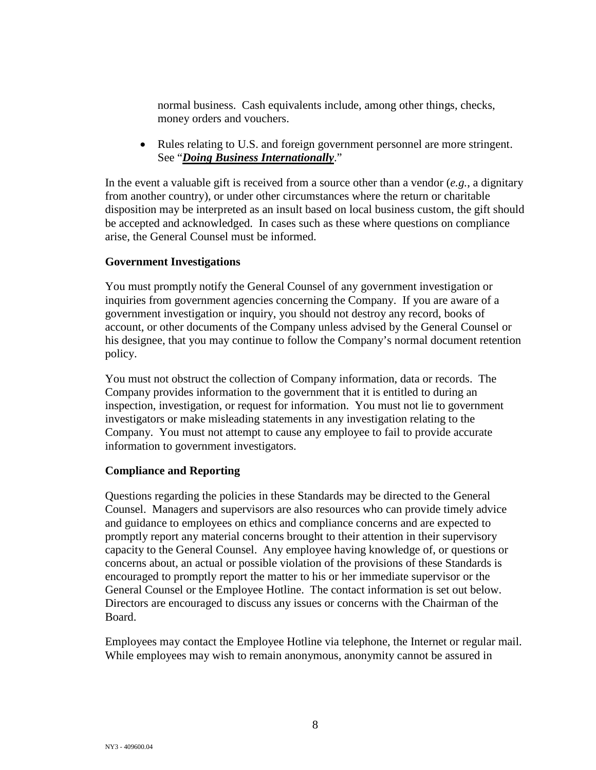normal business. Cash equivalents include, among other things, checks, money orders and vouchers.

• Rules relating to U.S. and foreign government personnel are more stringent. See "*Doing Business Internationally*."

In the event a valuable gift is received from a source other than a vendor (*e.g.*, a dignitary from another country), or under other circumstances where the return or charitable disposition may be interpreted as an insult based on local business custom, the gift should be accepted and acknowledged. In cases such as these where questions on compliance arise, the General Counsel must be informed.

## **Government Investigations**

You must promptly notify the General Counsel of any government investigation or inquiries from government agencies concerning the Company. If you are aware of a government investigation or inquiry, you should not destroy any record, books of account, or other documents of the Company unless advised by the General Counsel or his designee, that you may continue to follow the Company's normal document retention policy.

You must not obstruct the collection of Company information, data or records. The Company provides information to the government that it is entitled to during an inspection, investigation, or request for information. You must not lie to government investigators or make misleading statements in any investigation relating to the Company. You must not attempt to cause any employee to fail to provide accurate information to government investigators.

## **Compliance and Reporting**

Questions regarding the policies in these Standards may be directed to the General Counsel. Managers and supervisors are also resources who can provide timely advice and guidance to employees on ethics and compliance concerns and are expected to promptly report any material concerns brought to their attention in their supervisory capacity to the General Counsel. Any employee having knowledge of, or questions or concerns about, an actual or possible violation of the provisions of these Standards is encouraged to promptly report the matter to his or her immediate supervisor or the General Counsel or the Employee Hotline. The contact information is set out below. Directors are encouraged to discuss any issues or concerns with the Chairman of the Board.

Employees may contact the Employee Hotline via telephone, the Internet or regular mail. While employees may wish to remain anonymous, anonymity cannot be assured in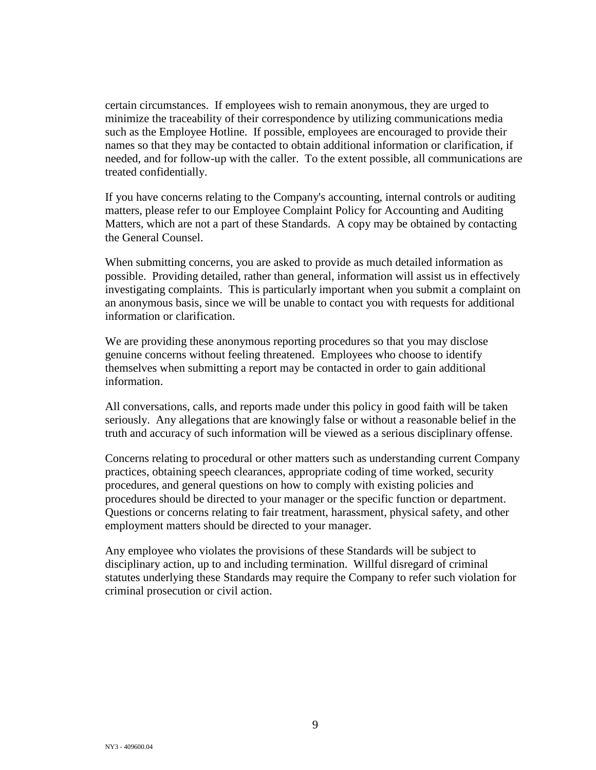certain circumstances. If employees wish to remain anonymous, they are urged to minimize the traceability of their correspondence by utilizing communications media such as the Employee Hotline. If possible, employees are encouraged to provide their names so that they may be contacted to obtain additional information or clarification, if needed, and for follow-up with the caller. To the extent possible, all communications are treated confidentially.

If you have concerns relating to the Company's accounting, internal controls or auditing matters, please refer to our Employee Complaint Policy for Accounting and Auditing Matters, which are not a part of these Standards. A copy may be obtained by contacting the General Counsel.

When submitting concerns, you are asked to provide as much detailed information as possible. Providing detailed, rather than general, information will assist us in effectively investigating complaints. This is particularly important when you submit a complaint on an anonymous basis, since we will be unable to contact you with requests for additional information or clarification.

We are providing these anonymous reporting procedures so that you may disclose genuine concerns without feeling threatened. Employees who choose to identify themselves when submitting a report may be contacted in order to gain additional information.

All conversations, calls, and reports made under this policy in good faith will be taken seriously. Any allegations that are knowingly false or without a reasonable belief in the truth and accuracy of such information will be viewed as a serious disciplinary offense.

Concerns relating to procedural or other matters such as understanding current Company practices, obtaining speech clearances, appropriate coding of time worked, security procedures, and general questions on how to comply with existing policies and procedures should be directed to your manager or the specific function or department. Questions or concerns relating to fair treatment, harassment, physical safety, and other employment matters should be directed to your manager.

Any employee who violates the provisions of these Standards will be subject to disciplinary action, up to and including termination. Willful disregard of criminal statutes underlying these Standards may require the Company to refer such violation for criminal prosecution or civil action.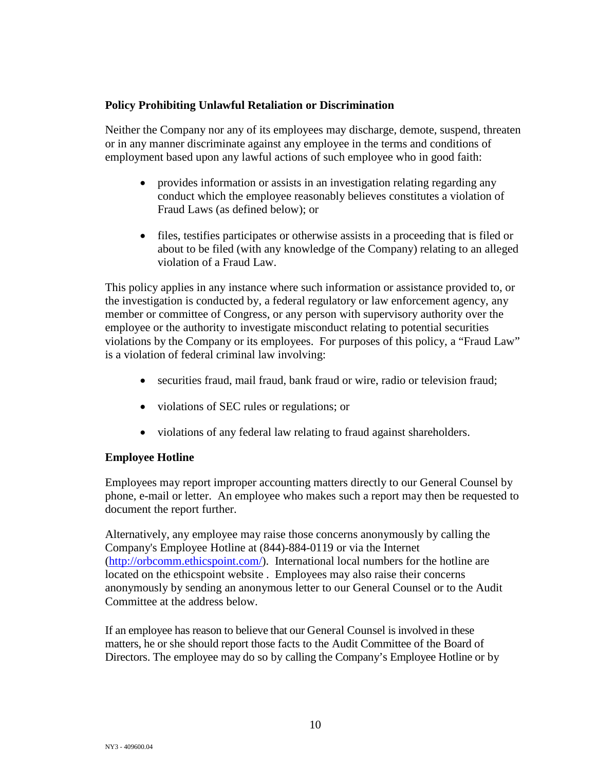## **Policy Prohibiting Unlawful Retaliation or Discrimination**

Neither the Company nor any of its employees may discharge, demote, suspend, threaten or in any manner discriminate against any employee in the terms and conditions of employment based upon any lawful actions of such employee who in good faith:

- provides information or assists in an investigation relating regarding any conduct which the employee reasonably believes constitutes a violation of Fraud Laws (as defined below); or
- files, testifies participates or otherwise assists in a proceeding that is filed or about to be filed (with any knowledge of the Company) relating to an alleged violation of a Fraud Law.

This policy applies in any instance where such information or assistance provided to, or the investigation is conducted by, a federal regulatory or law enforcement agency, any member or committee of Congress, or any person with supervisory authority over the employee or the authority to investigate misconduct relating to potential securities violations by the Company or its employees. For purposes of this policy, a "Fraud Law" is a violation of federal criminal law involving:

- securities fraud, mail fraud, bank fraud or wire, radio or television fraud;
- violations of SEC rules or regulations; or
- violations of any federal law relating to fraud against shareholders.

## **Employee Hotline**

Employees may report improper accounting matters directly to our General Counsel by phone, e-mail or letter. An employee who makes such a report may then be requested to document the report further.

Alternatively, any employee may raise those concerns anonymously by calling the Company's Employee Hotline at (844)-884-0119 or via the Internet [\(http://orbcomm.ethicspoint.com/\)](http://orbcomm.ethicspoint.com/). International local numbers for the hotline are located on the ethicspoint website . Employees may also raise their concerns anonymously by sending an anonymous letter to our General Counsel or to the Audit Committee at the address below.

If an employee has reason to believe that our General Counsel is involved in these matters, he or she should report those facts to the Audit Committee of the Board of Directors. The employee may do so by calling the Company's Employee Hotline or by